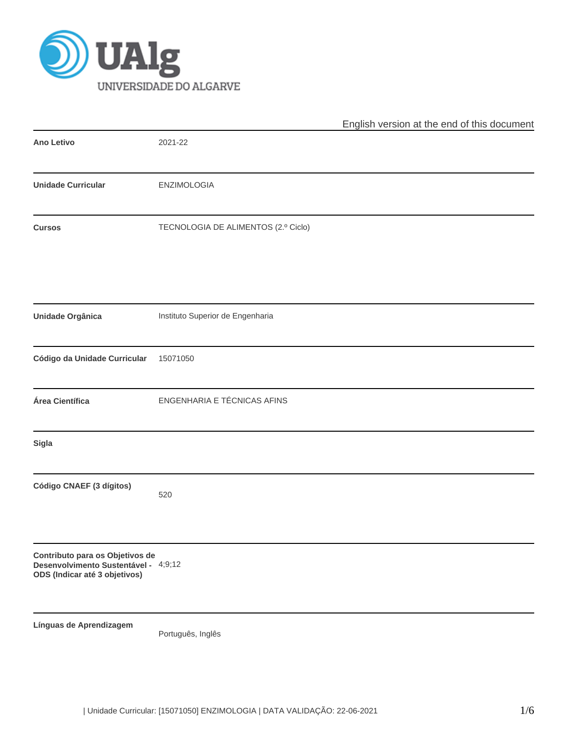

|                                                                                                          |                                     | English version at the end of this document |
|----------------------------------------------------------------------------------------------------------|-------------------------------------|---------------------------------------------|
| Ano Letivo                                                                                               | 2021-22                             |                                             |
| <b>Unidade Curricular</b>                                                                                | ENZIMOLOGIA                         |                                             |
| <b>Cursos</b>                                                                                            | TECNOLOGIA DE ALIMENTOS (2.º Ciclo) |                                             |
| Unidade Orgânica                                                                                         | Instituto Superior de Engenharia    |                                             |
| Código da Unidade Curricular                                                                             | 15071050                            |                                             |
| Área Científica                                                                                          | ENGENHARIA E TÉCNICAS AFINS         |                                             |
| Sigla                                                                                                    |                                     |                                             |
| Código CNAEF (3 dígitos)                                                                                 | 520                                 |                                             |
| Contributo para os Objetivos de<br>Desenvolvimento Sustentável - 4;9;12<br>ODS (Indicar até 3 objetivos) |                                     |                                             |
| Línguas de Aprendizagem                                                                                  | Português, Inglês                   |                                             |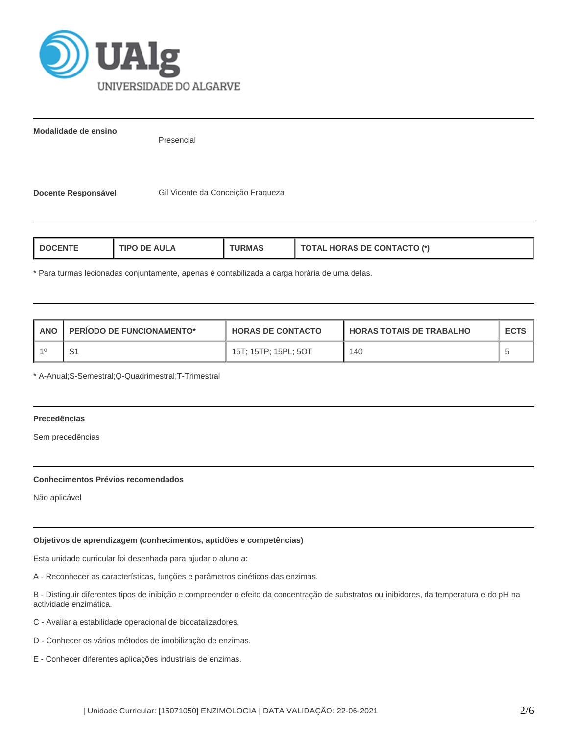

**Modalidade de ensino**

Presencial

Docente Responsável **Gil Vicente da Conceição Fraqueza** 

| AUI A<br>RM∆<br>I DOCENT<br>ΠPΩ | L HORAS DE CONTACTO (*)<br><b>OIAL</b> |
|---------------------------------|----------------------------------------|
|---------------------------------|----------------------------------------|

\* Para turmas lecionadas conjuntamente, apenas é contabilizada a carga horária de uma delas.

| ANO | <b>PERIODO DE FUNCIONAMENTO*</b> | <b>HORAS DE CONTACTO</b> | I HORAS TOTAIS DE TRABALHO | <b>ECTS</b> |
|-----|----------------------------------|--------------------------|----------------------------|-------------|
|     | 51                               | 15T; 15TP; 15PL; 5OT     | 140                        |             |

\* A-Anual;S-Semestral;Q-Quadrimestral;T-Trimestral

# **Precedências**

Sem precedências

#### **Conhecimentos Prévios recomendados**

Não aplicável

# **Objetivos de aprendizagem (conhecimentos, aptidões e competências)**

Esta unidade curricular foi desenhada para ajudar o aluno a:

A - Reconhecer as características, funções e parâmetros cinéticos das enzimas.

B - Distinguir diferentes tipos de inibição e compreender o efeito da concentração de substratos ou inibidores, da temperatura e do pH na actividade enzimática.

- C Avaliar a estabilidade operacional de biocatalizadores.
- D Conhecer os vários métodos de imobilização de enzimas.
- E Conhecer diferentes aplicações industriais de enzimas.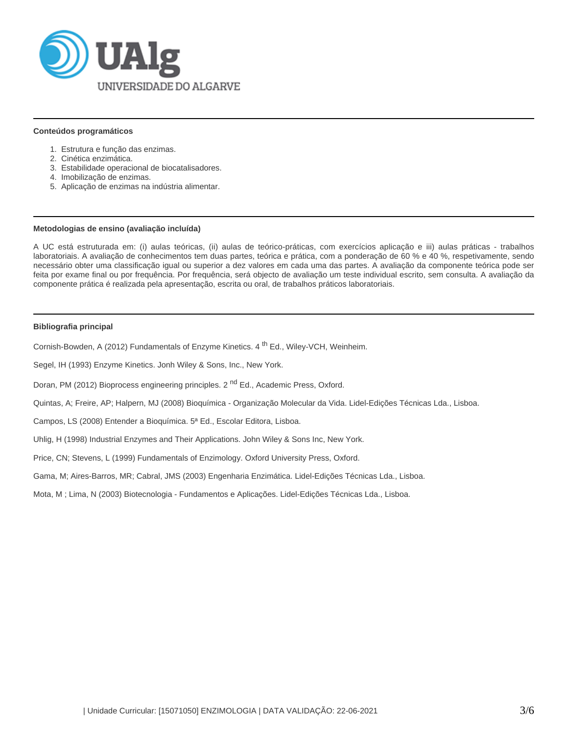

#### **Conteúdos programáticos**

- 1. Estrutura e função das enzimas.
- 2. Cinética enzimática.
- 3. Estabilidade operacional de biocatalisadores.
- 4. Imobilização de enzimas.
- 5. Aplicação de enzimas na indústria alimentar.

#### **Metodologias de ensino (avaliação incluída)**

A UC está estruturada em: (i) aulas teóricas, (ii) aulas de teórico-práticas, com exercícios aplicação e iii) aulas práticas - trabalhos laboratoriais. A avaliação de conhecimentos tem duas partes, teórica e prática, com a ponderação de 60 % e 40 %, respetivamente, sendo necessário obter uma classificação igual ou superior a dez valores em cada uma das partes. A avaliação da componente teórica pode ser feita por exame final ou por frequência. Por frequência, será objecto de avaliação um teste individual escrito, sem consulta. A avaliação da componente prática é realizada pela apresentação, escrita ou oral, de trabalhos práticos laboratoriais.

#### **Bibliografia principal**

Cornish-Bowden, A (2012) Fundamentals of Enzyme Kinetics. 4<sup>th</sup> Ed., Wiley-VCH, Weinheim.

Segel, IH (1993) Enzyme Kinetics. Jonh Wiley & Sons, Inc., New York.

Doran, PM (2012) Bioprocess engineering principles. 2<sup>nd</sup> Ed., Academic Press, Oxford.

Quintas, A; Freire, AP; Halpern, MJ (2008) Bioquímica - Organização Molecular da Vida. Lidel-Edições Técnicas Lda., Lisboa.

Campos, LS (2008) Entender a Bioquímica. 5ª Ed., Escolar Editora, Lisboa.

Uhlig, H (1998) Industrial Enzymes and Their Applications. John Wiley & Sons Inc, New York.

Price, CN; Stevens, L (1999) Fundamentals of Enzimology. Oxford University Press, Oxford.

Gama, M; Aires-Barros, MR; Cabral, JMS (2003) Engenharia Enzimática. Lidel-Edições Técnicas Lda., Lisboa.

Mota, M ; Lima, N (2003) Biotecnologia - Fundamentos e Aplicações. Lidel-Edições Técnicas Lda., Lisboa.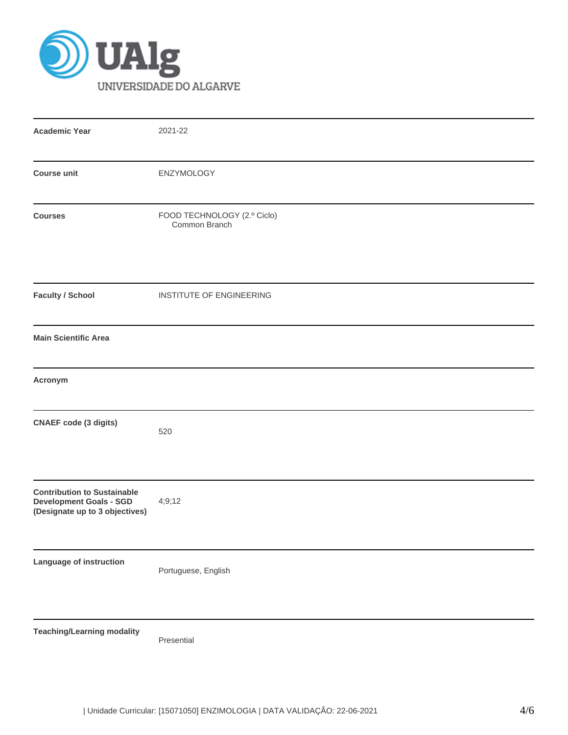

| <b>Academic Year</b>                                                                                   | 2021-22                                      |
|--------------------------------------------------------------------------------------------------------|----------------------------------------------|
| <b>Course unit</b>                                                                                     | ENZYMOLOGY                                   |
| <b>Courses</b>                                                                                         | FOOD TECHNOLOGY (2.º Ciclo)<br>Common Branch |
| <b>Faculty / School</b>                                                                                | INSTITUTE OF ENGINEERING                     |
| <b>Main Scientific Area</b>                                                                            |                                              |
| Acronym                                                                                                |                                              |
| <b>CNAEF</b> code (3 digits)                                                                           | 520                                          |
| <b>Contribution to Sustainable</b><br><b>Development Goals - SGD</b><br>(Designate up to 3 objectives) | 4;9;12                                       |
| Language of instruction                                                                                | Portuguese, English                          |
| <b>Teaching/Learning modality</b>                                                                      | Presential                                   |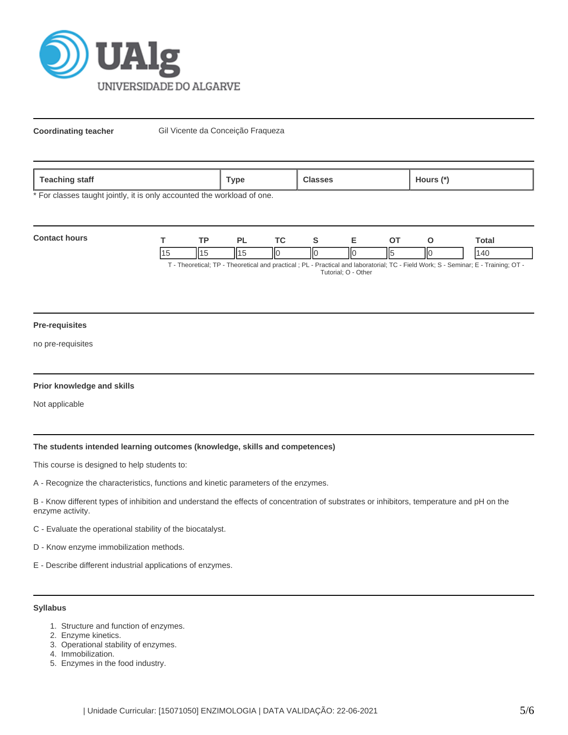

**Coordinating teacher** Gil Vicente da Conceição Fraqueza

| 020<br>statt<br><b>COLLIN</b><br>-- | vpe' |  | ours |
|-------------------------------------|------|--|------|
|-------------------------------------|------|--|------|

\* For classes taught jointly, it is only accounted the workload of one.

| <b>Contact hours</b> | тp |  |   |  |    | <b>otal</b>                                                                                                           |
|----------------------|----|--|---|--|----|-----------------------------------------------------------------------------------------------------------------------|
|                      |    |  | Ш |  | ΙК |                                                                                                                       |
|                      |    |  |   |  |    | Theoretical: TD Theoretical and proctical : DL Drectical and Ighoratorial: TC Eiold Work: S. Sominar: E. Training: OT |

· Theoretical; TP - Theoretical and practical ; PL - Practical and laboratorial; TC - Field Work; S - Seminar; E - Training; OT Tutorial; O - Other

#### **Pre-requisites**

no pre-requisites

#### **Prior knowledge and skills**

Not applicable

# **The students intended learning outcomes (knowledge, skills and competences)**

This course is designed to help students to:

A - Recognize the characteristics, functions and kinetic parameters of the enzymes.

B - Know different types of inhibition and understand the effects of concentration of substrates or inhibitors, temperature and pH on the enzyme activity.

C - Evaluate the operational stability of the biocatalyst.

D - Know enzyme immobilization methods.

E - Describe different industrial applications of enzymes.

### **Syllabus**

- 1. Structure and function of enzymes.
- 2. Enzyme kinetics.
- 3. Operational stability of enzymes.
- 4. Immobilization.
- 5. Enzymes in the food industry.